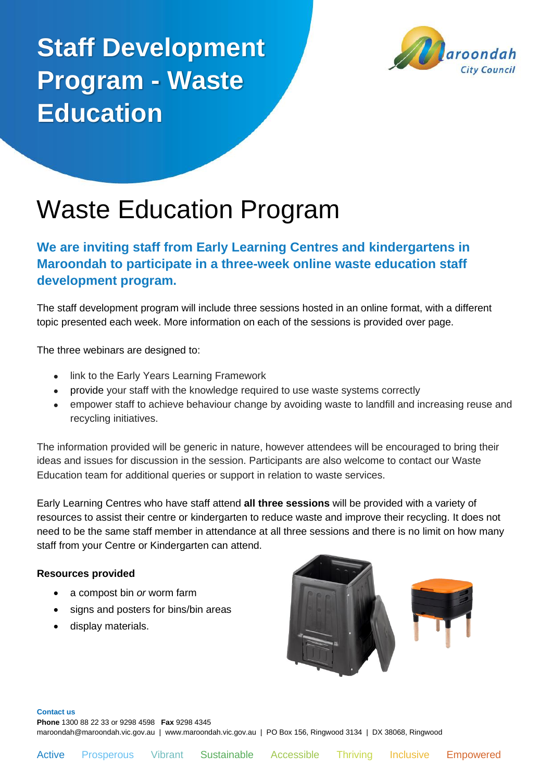# **Staff Development Program - Waste Education**



## Waste Education Program

### **We are inviting staff from Early Learning Centres and kindergartens in Maroondah to participate in a three-week online waste education staff development program.**

The staff development program will include three sessions hosted in an online format, with a different topic presented each week. More information on each of the sessions is provided over page.

The three webinars are designed to:

- link to the Early Years Learning Framework
- provide your staff with the knowledge required to use waste systems correctly
- empower staff to achieve behaviour change by avoiding waste to landfill and increasing reuse and recycling initiatives.

The information provided will be generic in nature, however attendees will be encouraged to bring their ideas and issues for discussion in the session. Participants are also welcome to contact our Waste Education team for additional queries or support in relation to waste services.

Early Learning Centres who have staff attend **all three sessions** will be provided with a variety of resources to assist their centre or kindergarten to reduce waste and improve their recycling. It does not need to be the same staff member in attendance at all three sessions and there is no limit on how many staff from your Centre or Kindergarten can attend.

#### **Resources provided**

- a compost bin *or* worm farm
- signs and posters for bins/bin areas
- display materials.